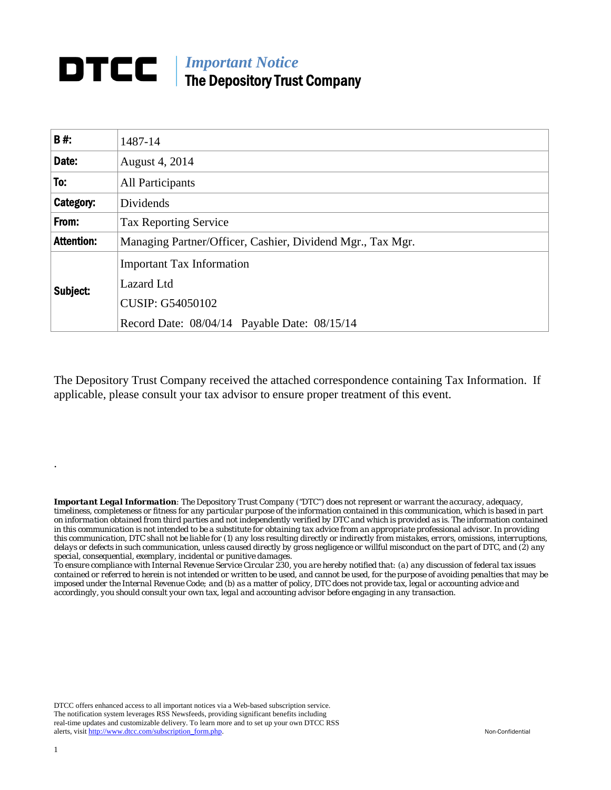#### *Important Notice*  DTCC | The Depository Trust Company

| <b>B#:</b>        | 1487-14                                                    |  |
|-------------------|------------------------------------------------------------|--|
| Date:             | August 4, 2014                                             |  |
| To:               | <b>All Participants</b>                                    |  |
| Category:         | Dividends                                                  |  |
| From:             | <b>Tax Reporting Service</b>                               |  |
| <b>Attention:</b> | Managing Partner/Officer, Cashier, Dividend Mgr., Tax Mgr. |  |
| Subject:          | <b>Important Tax Information</b>                           |  |
|                   | Lazard Ltd                                                 |  |
|                   | <b>CUSIP: G54050102</b>                                    |  |
|                   | Record Date: 08/04/14 Payable Date: 08/15/14               |  |

The Depository Trust Company received the attached correspondence containing Tax Information. If applicable, please consult your tax advisor to ensure proper treatment of this event.

*Important Legal Information: The Depository Trust Company ("DTC") does not represent or warrant the accuracy, adequacy, timeliness, completeness or fitness for any particular purpose of the information contained in this communication, which is based in part on information obtained from third parties and not independently verified by DTC and which is provided as is. The information contained in this communication is not intended to be a substitute for obtaining tax advice from an appropriate professional advisor. In providing this communication, DTC shall not be liable for (1) any loss resulting directly or indirectly from mistakes, errors, omissions, interruptions, delays or defects in such communication, unless caused directly by gross negligence or willful misconduct on the part of DTC, and (2) any special, consequential, exemplary, incidental or punitive damages.* 

*To ensure compliance with Internal Revenue Service Circular 230, you are hereby notified that: (a) any discussion of federal tax issues contained or referred to herein is not intended or written to be used, and cannot be used, for the purpose of avoiding penalties that may be imposed under the Internal Revenue Code; and (b) as a matter of policy, DTC does not provide tax, legal or accounting advice and accordingly, you should consult your own tax, legal and accounting advisor before engaging in any transaction.*

DTCC offers enhanced access to all important notices via a Web-based subscription service. The notification system leverages RSS Newsfeeds, providing significant benefits including real-time updates and customizable delivery. To learn more and to set up your own DTCC RSS alerts, visit http://www.dtcc.com/subscription\_form.php. Non-Confidential

.